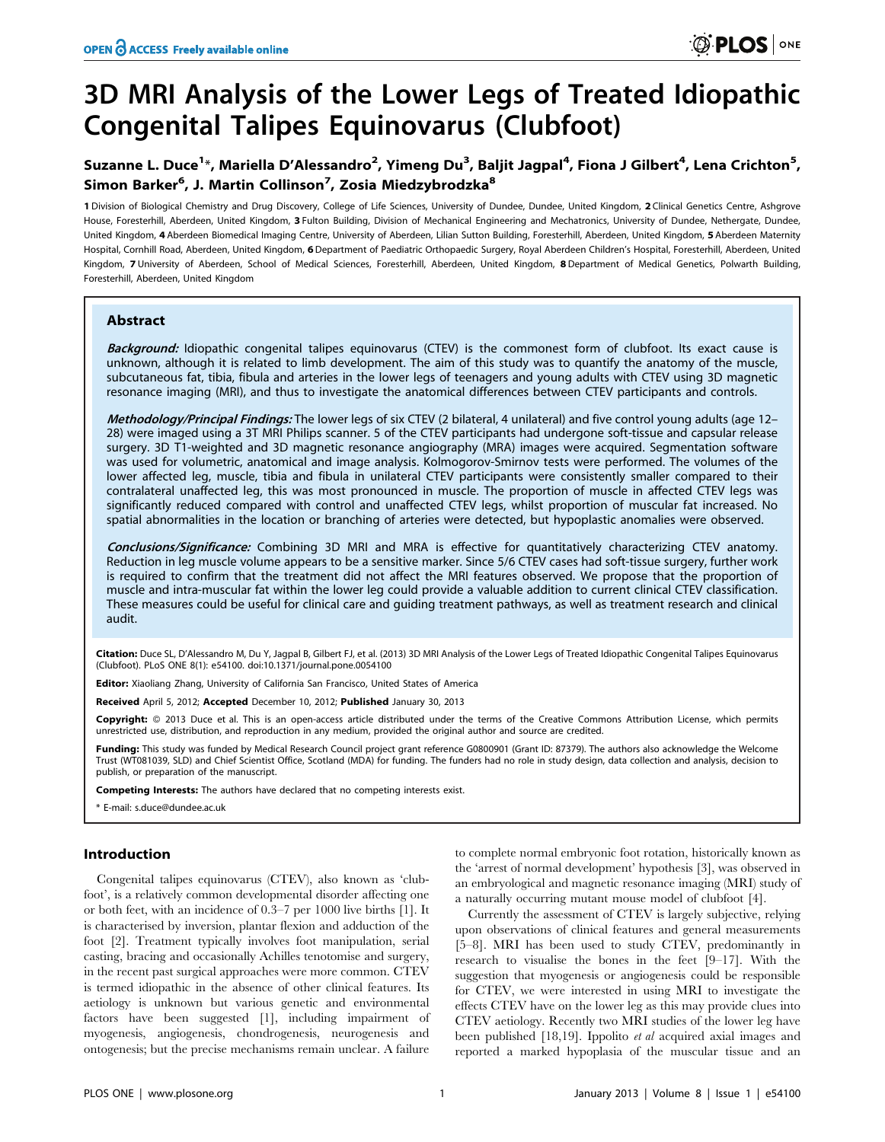# 3D MRI Analysis of the Lower Legs of Treated Idiopathic Congenital Talipes Equinovarus (Clubfoot)

## Suzanne L. Duce<sup>1</sup>\*, Mariella D'Alessandro<sup>2</sup>, Yimeng Du<sup>3</sup>, Baljit Jagpal<sup>4</sup>, Fiona J Gilbert<sup>4</sup>, Lena Crichton<sup>5</sup>, Simon Barker<sup>6</sup>, J. Martin Collinson<sup>7</sup>, Zosia Miedzybrodzka<sup>8</sup>

1 Division of Biological Chemistry and Drug Discovery, College of Life Sciences, University of Dundee, Dundee, United Kingdom, 2 Clinical Genetics Centre, Ashgrove House, Foresterhill, Aberdeen, United Kingdom, 3 Fulton Building, Division of Mechanical Engineering and Mechatronics, University of Dundee, Nethergate, Dundee, United Kingdom, 4 Aberdeen Biomedical Imaging Centre, University of Aberdeen, Lilian Sutton Building, Foresterhill, Aberdeen, United Kingdom, 5 Aberdeen Maternity Hospital, Cornhill Road, Aberdeen, United Kingdom, 6 Department of Paediatric Orthopaedic Surgery, Royal Aberdeen Children's Hospital, Foresterhill, Aberdeen, United Kingdom, 7 University of Aberdeen, School of Medical Sciences, Foresterhill, Aberdeen, United Kingdom, 8 Department of Medical Genetics, Polwarth Building, Foresterhill, Aberdeen, United Kingdom

## Abstract

Background: Idiopathic congenital talipes equinovarus (CTEV) is the commonest form of clubfoot. Its exact cause is unknown, although it is related to limb development. The aim of this study was to quantify the anatomy of the muscle, subcutaneous fat, tibia, fibula and arteries in the lower legs of teenagers and young adults with CTEV using 3D magnetic resonance imaging (MRI), and thus to investigate the anatomical differences between CTEV participants and controls.

Methodology/Principal Findings: The lower legs of six CTEV (2 bilateral, 4 unilateral) and five control young adults (age 12-28) were imaged using a 3T MRI Philips scanner. 5 of the CTEV participants had undergone soft-tissue and capsular release surgery. 3D T1-weighted and 3D magnetic resonance angiography (MRA) images were acquired. Segmentation software was used for volumetric, anatomical and image analysis. Kolmogorov-Smirnov tests were performed. The volumes of the lower affected leg, muscle, tibia and fibula in unilateral CTEV participants were consistently smaller compared to their contralateral unaffected leg, this was most pronounced in muscle. The proportion of muscle in affected CTEV legs was significantly reduced compared with control and unaffected CTEV legs, whilst proportion of muscular fat increased. No spatial abnormalities in the location or branching of arteries were detected, but hypoplastic anomalies were observed.

Conclusions/Significance: Combining 3D MRI and MRA is effective for quantitatively characterizing CTEV anatomy. Reduction in leg muscle volume appears to be a sensitive marker. Since 5/6 CTEV cases had soft-tissue surgery, further work is required to confirm that the treatment did not affect the MRI features observed. We propose that the proportion of muscle and intra-muscular fat within the lower leg could provide a valuable addition to current clinical CTEV classification. These measures could be useful for clinical care and guiding treatment pathways, as well as treatment research and clinical audit.

Citation: Duce SL, D'Alessandro M, Du Y, Jagpal B, Gilbert FJ, et al. (2013) 3D MRI Analysis of the Lower Legs of Treated Idiopathic Congenital Talipes Equinovarus (Clubfoot). PLoS ONE 8(1): e54100. doi:10.1371/journal.pone.0054100

Editor: Xiaoliang Zhang, University of California San Francisco, United States of America

Received April 5, 2012; Accepted December 10, 2012; Published January 30, 2013

Copyright: © 2013 Duce et al. This is an open-access article distributed under the terms of the Creative Commons Attribution License, which permits unrestricted use, distribution, and reproduction in any medium, provided the original author and source are credited.

Funding: This study was funded by Medical Research Council project grant reference G0800901 (Grant ID: 87379). The authors also acknowledge the Welcome Trust (WT081039, SLD) and Chief Scientist Office, Scotland (MDA) for funding. The funders had no role in study design, data collection and analysis, decision to publish, or preparation of the manuscript.

Competing Interests: The authors have declared that no competing interests exist.

\* E-mail: s.duce@dundee.ac.uk

## Introduction

Congenital talipes equinovarus (CTEV), also known as 'clubfoot', is a relatively common developmental disorder affecting one or both feet, with an incidence of 0.3–7 per 1000 live births [1]. It is characterised by inversion, plantar flexion and adduction of the foot [2]. Treatment typically involves foot manipulation, serial casting, bracing and occasionally Achilles tenotomise and surgery, in the recent past surgical approaches were more common. CTEV is termed idiopathic in the absence of other clinical features. Its aetiology is unknown but various genetic and environmental factors have been suggested [1], including impairment of myogenesis, angiogenesis, chondrogenesis, neurogenesis and ontogenesis; but the precise mechanisms remain unclear. A failure

to complete normal embryonic foot rotation, historically known as the 'arrest of normal development' hypothesis [3], was observed in an embryological and magnetic resonance imaging (MRI) study of a naturally occurring mutant mouse model of clubfoot [4].

Currently the assessment of CTEV is largely subjective, relying upon observations of clinical features and general measurements [5–8]. MRI has been used to study CTEV, predominantly in research to visualise the bones in the feet [9–17]. With the suggestion that myogenesis or angiogenesis could be responsible for CTEV, we were interested in using MRI to investigate the effects CTEV have on the lower leg as this may provide clues into CTEV aetiology. Recently two MRI studies of the lower leg have been published [18,19]. Ippolito et al acquired axial images and reported a marked hypoplasia of the muscular tissue and an

**DEDS** ONE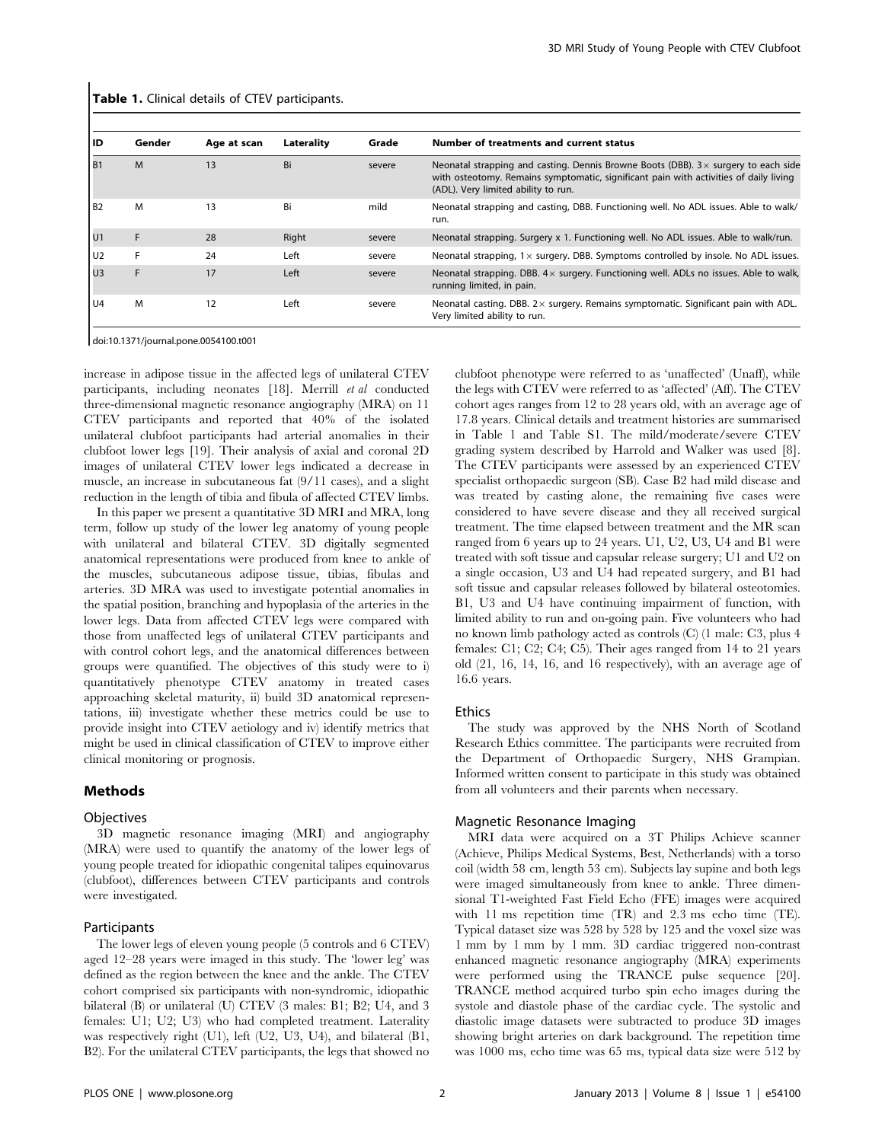| ID             | Gender | Age at scan | Laterality | Grade  | Number of treatments and current status                                                                                                                                                                                    |
|----------------|--------|-------------|------------|--------|----------------------------------------------------------------------------------------------------------------------------------------------------------------------------------------------------------------------------|
| B <sub>1</sub> | M      | 13          | Bi         | severe | Neonatal strapping and casting. Dennis Browne Boots (DBB). $3 \times$ surgery to each side<br>with osteotomy. Remains symptomatic, significant pain with activities of daily living<br>(ADL). Very limited ability to run. |
| B <sub>2</sub> | M      | 13          | Bi         | mild   | Neonatal strapping and casting, DBB. Functioning well. No ADL issues. Able to walk/<br>run.                                                                                                                                |
| l U1           |        | 28          | Right      | severe | Neonatal strapping. Surgery x 1. Functioning well. No ADL issues. Able to walk/run.                                                                                                                                        |
| l U2           |        | 24          | Left       | severe | Neonatal strapping, $1 \times$ surgery. DBB. Symptoms controlled by insole. No ADL issues.                                                                                                                                 |
| U <sub>3</sub> |        | 17          | Left       | severe | Neonatal strapping. DBB. $4 \times$ surgery. Functioning well. ADLs no issues. Able to walk,<br>running limited, in pain.                                                                                                  |
| U <sub>4</sub> | M      | 12          | Left       | severe | Neonatal casting. DBB. $2 \times$ surgery. Remains symptomatic. Significant pain with ADL.<br>Very limited ability to run.                                                                                                 |

**Table 1.** Clinical details of CTEV participants.

doi:10.1371/journal.pone.0054100.t001

increase in adipose tissue in the affected legs of unilateral CTEV participants, including neonates [18]. Merrill et al conducted three-dimensional magnetic resonance angiography (MRA) on 11 CTEV participants and reported that 40% of the isolated unilateral clubfoot participants had arterial anomalies in their clubfoot lower legs [19]. Their analysis of axial and coronal 2D images of unilateral CTEV lower legs indicated a decrease in muscle, an increase in subcutaneous fat (9/11 cases), and a slight reduction in the length of tibia and fibula of affected CTEV limbs.

In this paper we present a quantitative 3D MRI and MRA, long term, follow up study of the lower leg anatomy of young people with unilateral and bilateral CTEV. 3D digitally segmented anatomical representations were produced from knee to ankle of the muscles, subcutaneous adipose tissue, tibias, fibulas and arteries. 3D MRA was used to investigate potential anomalies in the spatial position, branching and hypoplasia of the arteries in the lower legs. Data from affected CTEV legs were compared with those from unaffected legs of unilateral CTEV participants and with control cohort legs, and the anatomical differences between groups were quantified. The objectives of this study were to i) quantitatively phenotype CTEV anatomy in treated cases approaching skeletal maturity, ii) build 3D anatomical representations, iii) investigate whether these metrics could be use to provide insight into CTEV aetiology and iv) identify metrics that might be used in clinical classification of CTEV to improve either clinical monitoring or prognosis.

#### Methods

## Objectives

3D magnetic resonance imaging (MRI) and angiography (MRA) were used to quantify the anatomy of the lower legs of young people treated for idiopathic congenital talipes equinovarus (clubfoot), differences between CTEV participants and controls were investigated.

#### Participants

The lower legs of eleven young people (5 controls and 6 CTEV) aged 12–28 years were imaged in this study. The 'lower leg' was defined as the region between the knee and the ankle. The CTEV cohort comprised six participants with non-syndromic, idiopathic bilateral (B) or unilateral (U) CTEV (3 males: B1; B2; U4, and 3 females: U1; U2; U3) who had completed treatment. Laterality was respectively right (U1), left (U2, U3, U4), and bilateral (B1, B2). For the unilateral CTEV participants, the legs that showed no clubfoot phenotype were referred to as 'unaffected' (Unaff), while the legs with CTEV were referred to as 'affected' (Aff). The CTEV cohort ages ranges from 12 to 28 years old, with an average age of 17.8 years. Clinical details and treatment histories are summarised in Table 1 and Table S1. The mild/moderate/severe CTEV grading system described by Harrold and Walker was used [8]. The CTEV participants were assessed by an experienced CTEV specialist orthopaedic surgeon (SB). Case B2 had mild disease and was treated by casting alone, the remaining five cases were considered to have severe disease and they all received surgical treatment. The time elapsed between treatment and the MR scan ranged from 6 years up to 24 years. U1, U2, U3, U4 and B1 were treated with soft tissue and capsular release surgery; U1 and U2 on a single occasion, U3 and U4 had repeated surgery, and B1 had soft tissue and capsular releases followed by bilateral osteotomies. B1, U3 and U4 have continuing impairment of function, with limited ability to run and on-going pain. Five volunteers who had no known limb pathology acted as controls (C) (1 male: C3, plus 4 females: C1; C2; C4; C5). Their ages ranged from 14 to 21 years old (21, 16, 14, 16, and 16 respectively), with an average age of 16.6 years.

## Ethics

The study was approved by the NHS North of Scotland Research Ethics committee. The participants were recruited from the Department of Orthopaedic Surgery, NHS Grampian. Informed written consent to participate in this study was obtained from all volunteers and their parents when necessary.

#### Magnetic Resonance Imaging

MRI data were acquired on a 3T Philips Achieve scanner (Achieve, Philips Medical Systems, Best, Netherlands) with a torso coil (width 58 cm, length 53 cm). Subjects lay supine and both legs were imaged simultaneously from knee to ankle. Three dimensional T1-weighted Fast Field Echo (FFE) images were acquired with 11 ms repetition time (TR) and 2.3 ms echo time (TE). Typical dataset size was 528 by 528 by 125 and the voxel size was 1 mm by 1 mm by 1 mm. 3D cardiac triggered non-contrast enhanced magnetic resonance angiography (MRA) experiments were performed using the TRANCE pulse sequence [20]. TRANCE method acquired turbo spin echo images during the systole and diastole phase of the cardiac cycle. The systolic and diastolic image datasets were subtracted to produce 3D images showing bright arteries on dark background. The repetition time was 1000 ms, echo time was 65 ms, typical data size were 512 by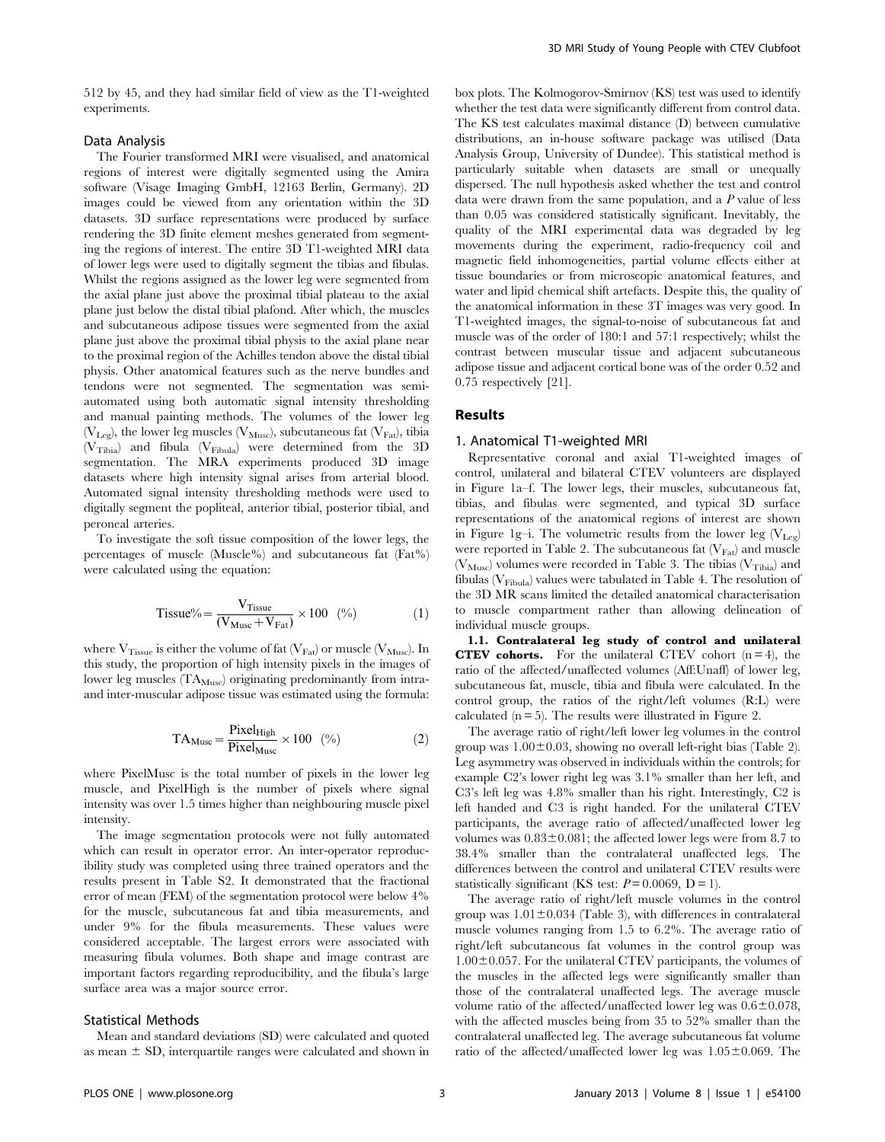512 by 45, and they had similar field of view as the T1-weighted experiments.

## Data Analysis

The Fourier transformed MRI were visualised, and anatomical regions of interest were digitally segmented using the Amira software (Visage Imaging GmbH, 12163 Berlin, Germany). 2D images could be viewed from any orientation within the 3D datasets. 3D surface representations were produced by surface rendering the 3D finite element meshes generated from segmenting the regions of interest. The entire 3D T1-weighted MRI data of lower legs were used to digitally segment the tibias and fibulas. Whilst the regions assigned as the lower leg were segmented from the axial plane just above the proximal tibial plateau to the axial plane just below the distal tibial plafond. After which, the muscles and subcutaneous adipose tissues were segmented from the axial plane just above the proximal tibial physis to the axial plane near to the proximal region of the Achilles tendon above the distal tibial physis. Other anatomical features such as the nerve bundles and tendons were not segmented. The segmentation was semiautomated using both automatic signal intensity thresholding and manual painting methods. The volumes of the lower leg ( $V_{\text{Leg}}$ ), the lower leg muscles ( $V_{\text{Musc}}$ ), subcutaneous fat ( $V_{\text{Fat}}$ ), tibia  $(V_{Tibia})$  and fibula  $(V_{Fibula})$  were determined from the 3D segmentation. The MRA experiments produced 3D image datasets where high intensity signal arises from arterial blood. Automated signal intensity thresholding methods were used to digitally segment the popliteal, anterior tibial, posterior tibial, and peroneal arteries.

To investigate the soft tissue composition of the lower legs, the percentages of muscle (Muscle%) and subcutaneous fat (Fat%) were calculated using the equation:

$$
Tissue\% = \frac{V_{Tissue}}{(V_{Musc} + V_{Fat})} \times 100\ (%)\tag{1}
$$

where  $V_{Tissue}$  is either the volume of fat ( $V_{Fat}$ ) or muscle ( $V_{Musc}$ ). In this study, the proportion of high intensity pixels in the images of lower leg muscles  $(TA_{Musc})$  originating predominantly from intraand inter-muscular adipose tissue was estimated using the formula:

$$
TA_{Musc} = \frac{PickHHigh}{PickHMusc} \times 100 \quad (*)
$$
 (2)

where PixelMusc is the total number of pixels in the lower leg muscle, and PixelHigh is the number of pixels where signal intensity was over 1.5 times higher than neighbouring muscle pixel intensity.

The image segmentation protocols were not fully automated which can result in operator error. An inter-operator reproducibility study was completed using three trained operators and the results present in Table S2. It demonstrated that the fractional error of mean (FEM) of the segmentation protocol were below 4% for the muscle, subcutaneous fat and tibia measurements, and under 9% for the fibula measurements. These values were considered acceptable. The largest errors were associated with measuring fibula volumes. Both shape and image contrast are important factors regarding reproducibility, and the fibula's large surface area was a major source error.

#### Statistical Methods

Mean and standard deviations (SD) were calculated and quoted as mean  $\pm$  SD, interquartile ranges were calculated and shown in box plots. The Kolmogorov-Smirnov (KS) test was used to identify whether the test data were significantly different from control data. The KS test calculates maximal distance (D) between cumulative distributions, an in-house software package was utilised (Data Analysis Group, University of Dundee). This statistical method is particularly suitable when datasets are small or unequally dispersed. The null hypothesis asked whether the test and control data were drawn from the same population, and a P value of less than 0.05 was considered statistically significant. Inevitably, the quality of the MRI experimental data was degraded by leg movements during the experiment, radio-frequency coil and magnetic field inhomogeneities, partial volume effects either at tissue boundaries or from microscopic anatomical features, and water and lipid chemical shift artefacts. Despite this, the quality of the anatomical information in these 3T images was very good. In T1-weighted images, the signal-to-noise of subcutaneous fat and muscle was of the order of 180:1 and 57:1 respectively; whilst the contrast between muscular tissue and adjacent subcutaneous adipose tissue and adjacent cortical bone was of the order 0.52 and 0.75 respectively [21].

## Results

## 1. Anatomical T1-weighted MRI

Representative coronal and axial T1-weighted images of control, unilateral and bilateral CTEV volunteers are displayed in Figure 1a–f. The lower legs, their muscles, subcutaneous fat, tibias, and fibulas were segmented, and typical 3D surface representations of the anatomical regions of interest are shown in Figure 1g–i. The volumetric results from the lower leg  $(V_{Leg})$ were reported in Table 2. The subcutaneous fat  $(V_{\text{Fat}})$  and muscle  $(V_{\text{Musc}})$  volumes were recorded in Table 3. The tibias  $(V_{\text{Tibia}})$  and fibulas ( $V_{Fibula}$ ) values were tabulated in Table 4. The resolution of the 3D MR scans limited the detailed anatomical characterisation to muscle compartment rather than allowing delineation of individual muscle groups.

1.1. Contralateral leg study of control and unilateral **CTEV cohorts.** For the unilateral CTEV cohort  $(n = 4)$ , the ratio of the affected/unaffected volumes (Aff:Unaff) of lower leg, subcutaneous fat, muscle, tibia and fibula were calculated. In the control group, the ratios of the right/left volumes (R:L) were calculated  $(n = 5)$ . The results were illustrated in Figure 2.

The average ratio of right/left lower leg volumes in the control group was  $1.00\pm0.03$ , showing no overall left-right bias (Table 2). Leg asymmetry was observed in individuals within the controls; for example C2's lower right leg was 3.1% smaller than her left, and C3's left leg was 4.8% smaller than his right. Interestingly, C2 is left handed and C3 is right handed. For the unilateral CTEV participants, the average ratio of affected/unaffected lower leg volumes was  $0.83\pm0.081$ ; the affected lower legs were from 8.7 to 38.4% smaller than the contralateral unaffected legs. The differences between the control and unilateral CTEV results were statistically significant (KS test:  $P = 0.0069$ ,  $D = 1$ ).

The average ratio of right/left muscle volumes in the control group was  $1.01 \pm 0.034$  (Table 3), with differences in contralateral muscle volumes ranging from 1.5 to 6.2%. The average ratio of right/left subcutaneous fat volumes in the control group was  $1.00\pm0.057$ . For the unilateral CTEV participants, the volumes of the muscles in the affected legs were significantly smaller than those of the contralateral unaffected legs. The average muscle volume ratio of the affected/unaffected lower leg was  $0.6\pm0.078$ , with the affected muscles being from 35 to 52% smaller than the contralateral unaffected leg. The average subcutaneous fat volume ratio of the affected/unaffected lower leg was  $1.05\pm0.069$ . The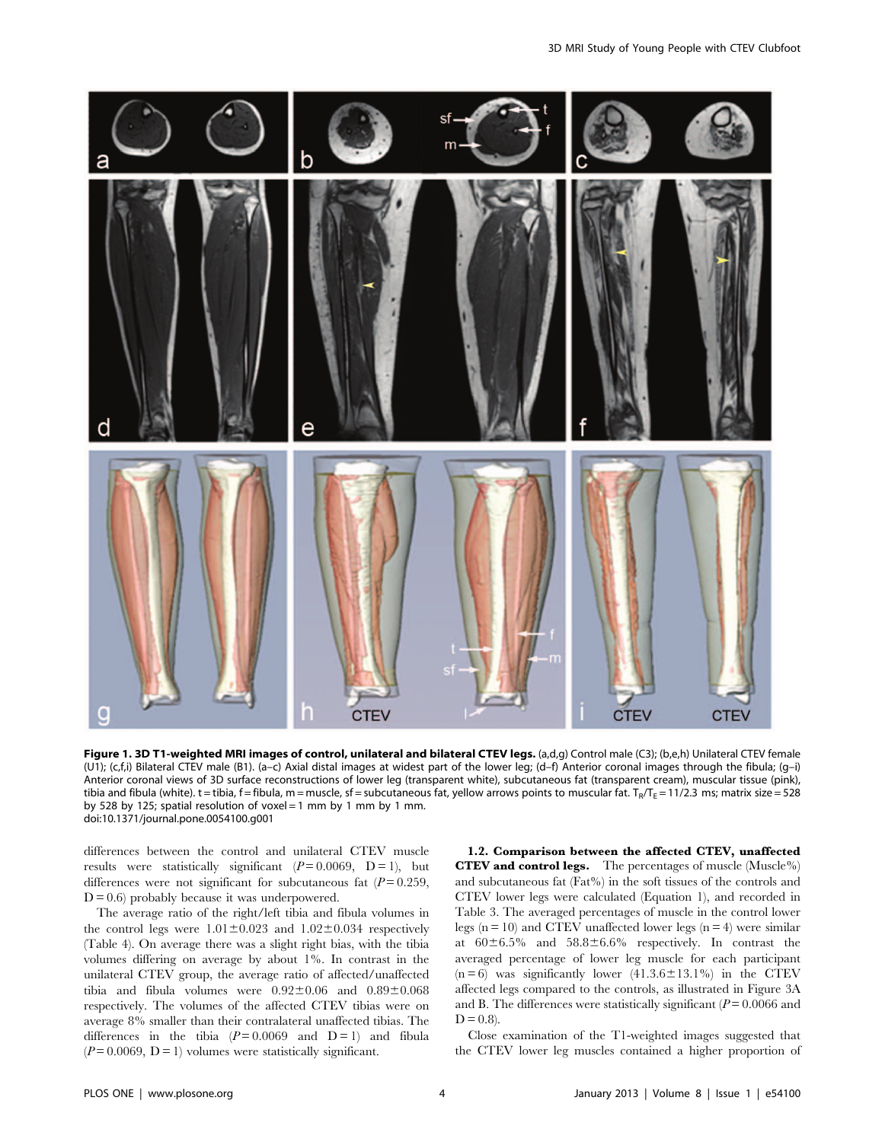

Figure 1. 3D T1-weighted MRI images of control, unilateral and bilateral CTEV legs. (a,d,g) Control male (C3); (b,e,h) Unilateral CTEV female (U1); (c,f,i) Bilateral CTEV male (B1). (a–c) Axial distal images at widest part of the lower leg; (d–f) Anterior coronal images through the fibula; (g–i) Anterior coronal views of 3D surface reconstructions of lower leg (transparent white), subcutaneous fat (transparent cream), muscular tissue (pink), tibia and fibula (white). t = tibia, f = fibula, m = muscle, sf = subcutaneous fat, yellow arrows points to muscular fat. T<sub>R</sub>/T<sub>E</sub> = 11/2.3 ms; matrix size = 528 by 528 by 125; spatial resolution of voxel = 1 mm by 1 mm by 1 mm. doi:10.1371/journal.pone.0054100.g001

differences between the control and unilateral CTEV muscle results were statistically significant  $(P=0.0069, D=1)$ , but differences were not significant for subcutaneous fat  $(P=0.259)$ ,  $D = 0.6$ ) probably because it was underpowered.

The average ratio of the right/left tibia and fibula volumes in the control legs were  $1.01 \pm 0.023$  and  $1.02 \pm 0.034$  respectively (Table 4). On average there was a slight right bias, with the tibia volumes differing on average by about 1%. In contrast in the unilateral CTEV group, the average ratio of affected/unaffected tibia and fibula volumes were  $0.92\pm0.06$  and  $0.89\pm0.068$ respectively. The volumes of the affected CTEV tibias were on average 8% smaller than their contralateral unaffected tibias. The differences in the tibia  $(P=0.0069$  and  $D=1$ ) and fibula  $(P=0.0069, D=1)$  volumes were statistically significant.

1.2. Comparison between the affected CTEV, unaffected CTEV and control legs. The percentages of muscle (Muscle%) and subcutaneous fat (Fat%) in the soft tissues of the controls and CTEV lower legs were calculated (Equation 1), and recorded in Table 3. The averaged percentages of muscle in the control lower legs  $(n = 10)$  and CTEV unaffected lower legs  $(n = 4)$  were similar at  $60\pm6.5\%$  and  $58.8\pm6.6\%$  respectively. In contrast the averaged percentage of lower leg muscle for each participant  $(n=6)$  was significantly lower  $(41.3.6 \pm 13.1\%)$  in the CTEV affected legs compared to the controls, as illustrated in Figure 3A and B. The differences were statistically significant ( $P = 0.0066$  and  $D = 0.8$ ).

Close examination of the T1-weighted images suggested that the CTEV lower leg muscles contained a higher proportion of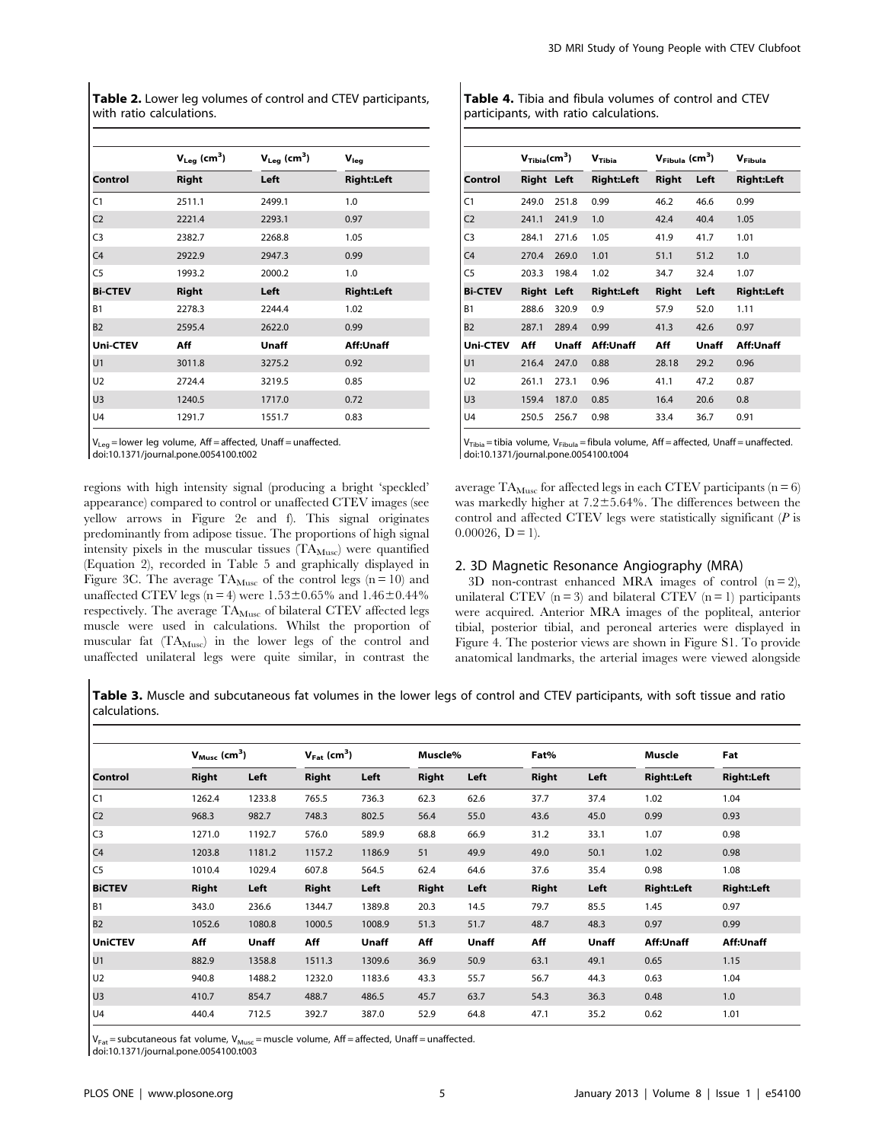Table 2. Lower leg volumes of control and CTEV participants, with ratio calculations.

|                 | $V_{Leg}$ (cm <sup>3</sup> ) | $V_{Leg}$ (cm <sup>3</sup> ) | $V_{\text{leg}}$  |
|-----------------|------------------------------|------------------------------|-------------------|
| Control         | <b>Right</b>                 | Left                         | <b>Right:Left</b> |
| C <sub>1</sub>  | 2511.1                       | 2499.1                       | 1.0               |
| C <sub>2</sub>  | 2221.4                       | 2293.1                       | 0.97              |
| C <sub>3</sub>  | 2382.7                       | 2268.8                       | 1.05              |
| C <sub>4</sub>  | 2922.9                       | 2947.3                       | 0.99              |
| C <sub>5</sub>  | 1993.2                       | 2000.2                       | 1.0               |
| <b>Bi-CTEV</b>  | <b>Right</b>                 | Left                         | <b>Right:Left</b> |
| <b>B1</b>       | 2278.3                       | 2244.4                       | 1.02              |
| <b>B2</b>       | 2595.4                       | 2622.0                       | 0.99              |
| <b>Uni-CTEV</b> | Aff                          | Unaff                        | Aff:Unaff         |
| U1              | 3011.8                       | 3275.2                       | 0.92              |
| U <sub>2</sub>  | 2724.4                       | 3219.5                       | 0.85              |
| U <sub>3</sub>  | 1240.5                       | 1717.0                       | 0.72              |
| U <sub>4</sub>  | 1291.7                       | 1551.7                       | 0.83              |

 $V_{\text{Leg}}$  = lower leg volume, Aff = affected, Unaff = unaffected. doi:10.1371/journal.pone.0054100.t002

regions with high intensity signal (producing a bright 'speckled' appearance) compared to control or unaffected CTEV images (see yellow arrows in Figure 2e and f). This signal originates predominantly from adipose tissue. The proportions of high signal intensity pixels in the muscular tissues (TA<sub>Musc</sub>) were quantified (Equation 2), recorded in Table 5 and graphically displayed in Figure 3C. The average  $\text{TA}_{\text{Musc}}$  of the control legs  $(n=10)$  and unaffected CTEV legs (n = 4) were  $1.53 \pm 0.65$ % and  $1.46 \pm 0.44$ % respectively. The average  $\mathrm{TA}_\mathrm{Musc}$  of bilateral CTEV affected legs muscle were used in calculations. Whilst the proportion of muscular fat (TA<sub>Musc</sub>) in the lower legs of the control and unaffected unilateral legs were quite similar, in contrast the Table 4. Tibia and fibula volumes of control and CTEV participants, with ratio calculations.

|                | V <sub>Tibia</sub> (cm <sup>3</sup> ) |       | $V_{\text{Fibula}}$ (cm <sup>3</sup> )<br>V <sub>Tibia</sub> |       |       | V <sub>Fibula</sub> |  |
|----------------|---------------------------------------|-------|--------------------------------------------------------------|-------|-------|---------------------|--|
| Control        | <b>Right Left</b>                     |       | <b>Right:Left</b>                                            | Right | Left  | <b>Right:Left</b>   |  |
| C <sub>1</sub> | 249.0                                 | 251.8 | 0.99                                                         | 46.2  | 46.6  | 0.99                |  |
| C <sub>2</sub> | 241.1                                 | 241.9 | 1.0                                                          | 42.4  | 40.4  | 1.05                |  |
| C <sub>3</sub> | 284.1                                 | 271.6 | 1.05                                                         | 41.9  | 41.7  | 1.01                |  |
| C <sub>4</sub> | 270.4                                 | 269.0 | 1.01                                                         | 51.1  | 51.2  | 1.0                 |  |
| C <sub>5</sub> | 203.3                                 | 198.4 | 1.02                                                         | 34.7  | 32.4  | 1.07                |  |
| <b>Bi-CTEV</b> | Right                                 | Left  | <b>Right:Left</b>                                            | Right | Left  | <b>Right:Left</b>   |  |
| <b>B1</b>      | 288.6                                 | 320.9 | 0.9                                                          | 57.9  | 52.0  | 1.11                |  |
| <b>B2</b>      | 287.1                                 | 289.4 | 0.99                                                         | 41.3  | 42.6  | 0.97                |  |
| Uni-CTEV       | Aff                                   | Unaff | Aff:Unaff                                                    | Aff   | Unaff | Aff:Unaff           |  |
| U1             | 216.4                                 | 247.0 | 0.88                                                         | 28.18 | 29.2  | 0.96                |  |
| U <sub>2</sub> | 261.1                                 | 273.1 | 0.96                                                         | 41.1  | 47.2  | 0.87                |  |
| U <sub>3</sub> | 159.4                                 | 187.0 | 0.85                                                         | 16.4  | 20.6  | 0.8                 |  |
| U <sub>4</sub> | 250.5                                 | 256.7 | 0.98                                                         | 33.4  | 36.7  | 0.91                |  |

V<sub>Tibia</sub> = tibia volume, V<sub>Fibula</sub> = fibula volume, Aff = affected, Unaff = unaffected.<br>doi:10.1371/journal.pone.0054100.t004

average  $TA_{Musc}$  for affected legs in each CTEV participants (n = 6) was markedly higher at  $7.2 \pm 5.64\%$ . The differences between the control and affected CTEV legs were statistically significant  $(P)$  is  $0.00026, D = 1$ .

## 2. 3D Magnetic Resonance Angiography (MRA)

3D non-contrast enhanced MRA images of control  $(n = 2)$ , unilateral CTEV  $(n = 3)$  and bilateral CTEV  $(n = 1)$  participants were acquired. Anterior MRA images of the popliteal, anterior tibial, posterior tibial, and peroneal arteries were displayed in Figure 4. The posterior views are shown in Figure S1. To provide anatomical landmarks, the arterial images were viewed alongside

Table 3. Muscle and subcutaneous fat volumes in the lower legs of control and CTEV participants, with soft tissue and ratio calculations.

|                | $V_{Musc}$ (cm <sup>3</sup> ) |        | $V_{Fat}$ (cm <sup>3</sup> ) |        | Muscle%      |       | Fat%         |       | Muscle            | Fat               |
|----------------|-------------------------------|--------|------------------------------|--------|--------------|-------|--------------|-------|-------------------|-------------------|
| <b>Control</b> | Right                         | Left   | <b>Right</b>                 | Left   | <b>Right</b> | Left  | <b>Right</b> | Left  | <b>Right:Left</b> | <b>Right:Left</b> |
| C1             | 1262.4                        | 1233.8 | 765.5                        | 736.3  | 62.3         | 62.6  | 37.7         | 37.4  | 1.02              | 1.04              |
| C <sub>2</sub> | 968.3                         | 982.7  | 748.3                        | 802.5  | 56.4         | 55.0  | 43.6         | 45.0  | 0.99              | 0.93              |
| C <sub>3</sub> | 1271.0                        | 1192.7 | 576.0                        | 589.9  | 68.8         | 66.9  | 31.2         | 33.1  | 1.07              | 0.98              |
| C <sub>4</sub> | 1203.8                        | 1181.2 | 1157.2                       | 1186.9 | 51           | 49.9  | 49.0         | 50.1  | 1.02              | 0.98              |
| C <sub>5</sub> | 1010.4                        | 1029.4 | 607.8                        | 564.5  | 62.4         | 64.6  | 37.6         | 35.4  | 0.98              | 1.08              |
| <b>BiCTEV</b>  | <b>Right</b>                  | Left   | Right                        | Left   | <b>Right</b> | Left  | Right        | Left  | <b>Right:Left</b> | <b>Right:Left</b> |
| B1             | 343.0                         | 236.6  | 1344.7                       | 1389.8 | 20.3         | 14.5  | 79.7         | 85.5  | 1.45              | 0.97              |
| B2             | 1052.6                        | 1080.8 | 1000.5                       | 1008.9 | 51.3         | 51.7  | 48.7         | 48.3  | 0.97              | 0.99              |
| <b>UniCTEV</b> | Aff                           | Unaff  | Aff                          | Unaff  | Aff          | Unaff | Aff          | Unaff | Aff:Unaff         | Aff:Unaff         |
| U1             | 882.9                         | 1358.8 | 1511.3                       | 1309.6 | 36.9         | 50.9  | 63.1         | 49.1  | 0.65              | 1.15              |
| U <sub>2</sub> | 940.8                         | 1488.2 | 1232.0                       | 1183.6 | 43.3         | 55.7  | 56.7         | 44.3  | 0.63              | 1.04              |
| U <sub>3</sub> | 410.7                         | 854.7  | 488.7                        | 486.5  | 45.7         | 63.7  | 54.3         | 36.3  | 0.48              | 1.0               |
| U4             | 440.4                         | 712.5  | 392.7                        | 387.0  | 52.9         | 64.8  | 47.1         | 35.2  | 0.62              | 1.01              |

 $V_{\text{Fat}}$  = subcutaneous fat volume,  $V_{\text{Musc}}$  = muscle volume, Aff = affected, Unaff = unaffected.

doi:10.1371/journal.pone.0054100.t003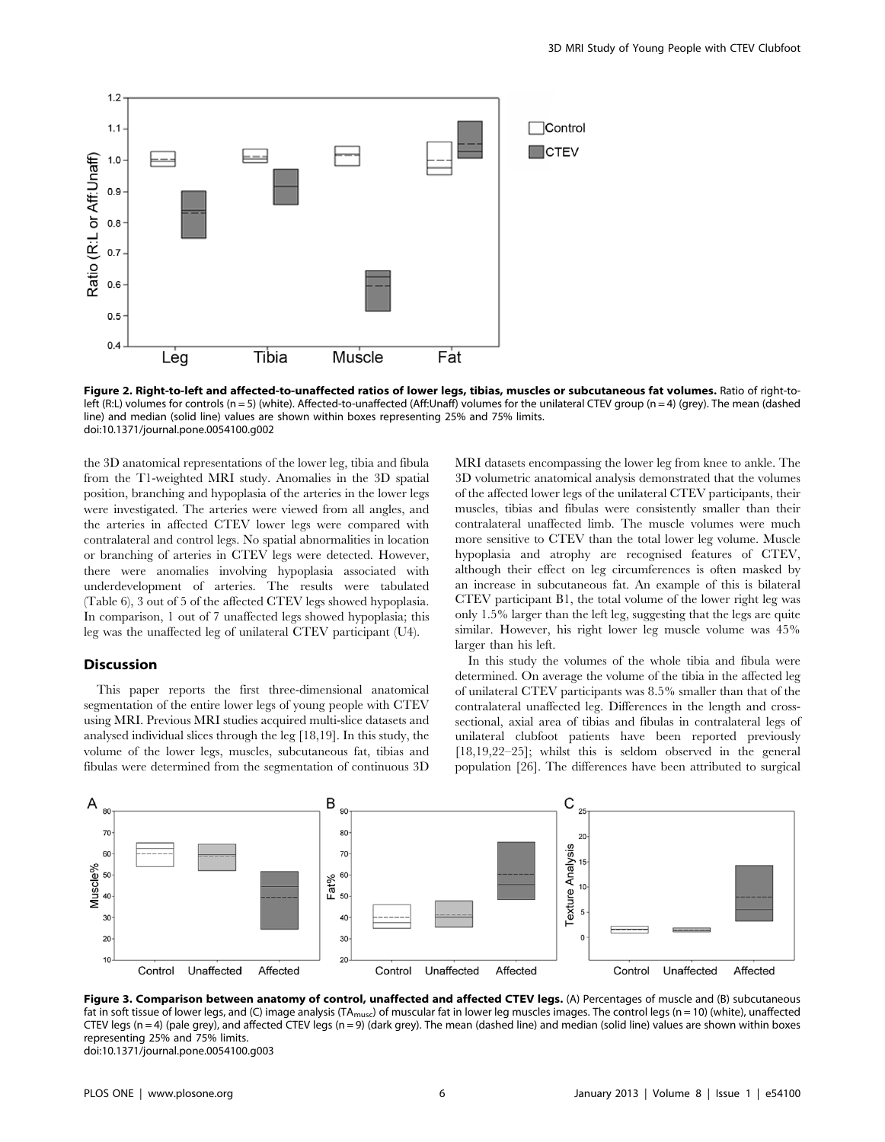

Figure 2. Right-to-left and affected-to-unaffected ratios of lower legs, tibias, muscles or subcutaneous fat volumes. Ratio of right-toleft (R:L) volumes for controls (n = 5) (white). Affected-to-unaffected (Aff:Unaff) volumes for the unilateral CTEV group (n = 4) (grey). The mean (dashed line) and median (solid line) values are shown within boxes representing 25% and 75% limits. doi:10.1371/journal.pone.0054100.g002

the 3D anatomical representations of the lower leg, tibia and fibula from the T1-weighted MRI study. Anomalies in the 3D spatial position, branching and hypoplasia of the arteries in the lower legs were investigated. The arteries were viewed from all angles, and the arteries in affected CTEV lower legs were compared with contralateral and control legs. No spatial abnormalities in location or branching of arteries in CTEV legs were detected. However, there were anomalies involving hypoplasia associated with underdevelopment of arteries. The results were tabulated (Table 6), 3 out of 5 of the affected CTEV legs showed hypoplasia. In comparison, 1 out of 7 unaffected legs showed hypoplasia; this leg was the unaffected leg of unilateral CTEV participant (U4).

#### **Discussion**

This paper reports the first three-dimensional anatomical segmentation of the entire lower legs of young people with CTEV using MRI. Previous MRI studies acquired multi-slice datasets and analysed individual slices through the leg [18,19]. In this study, the volume of the lower legs, muscles, subcutaneous fat, tibias and fibulas were determined from the segmentation of continuous 3D MRI datasets encompassing the lower leg from knee to ankle. The 3D volumetric anatomical analysis demonstrated that the volumes of the affected lower legs of the unilateral CTEV participants, their muscles, tibias and fibulas were consistently smaller than their contralateral unaffected limb. The muscle volumes were much more sensitive to CTEV than the total lower leg volume. Muscle hypoplasia and atrophy are recognised features of CTEV, although their effect on leg circumferences is often masked by an increase in subcutaneous fat. An example of this is bilateral CTEV participant B1, the total volume of the lower right leg was only 1.5% larger than the left leg, suggesting that the legs are quite similar. However, his right lower leg muscle volume was 45% larger than his left.

In this study the volumes of the whole tibia and fibula were determined. On average the volume of the tibia in the affected leg of unilateral CTEV participants was 8.5% smaller than that of the contralateral unaffected leg. Differences in the length and crosssectional, axial area of tibias and fibulas in contralateral legs of unilateral clubfoot patients have been reported previously [18,19,22–25]; whilst this is seldom observed in the general population [26]. The differences have been attributed to surgical



Figure 3. Comparison between anatomy of control, unaffected and affected CTEV legs. (A) Percentages of muscle and (B) subcutaneous fat in soft tissue of lower legs, and (C) image analysis (TA<sub>musc</sub>) of muscular fat in lower leg muscles images. The control legs (n = 10) (white), unaffected CTEV legs (n = 4) (pale grey), and affected CTEV legs (n = 9) (dark grey). The mean (dashed line) and median (solid line) values are shown within boxes representing 25% and 75% limits. doi:10.1371/journal.pone.0054100.g003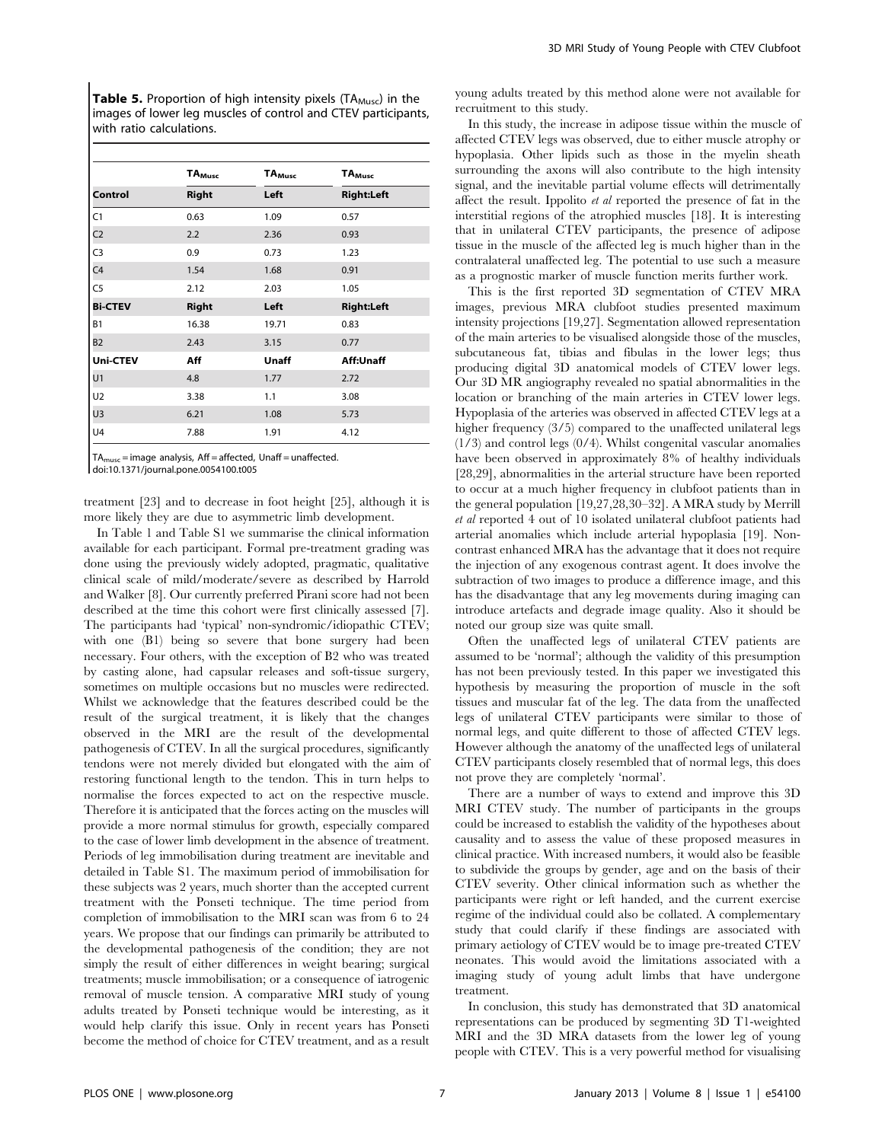**Table 5.** Proportion of high intensity pixels ( $TA_{Muss}$ ) in the images of lower leg muscles of control and CTEV participants, with ratio calculations.

|                | <b>TA</b> <sub>Musc</sub> | TA <sub>Musc</sub> | TA <sub>Musc</sub> |  |
|----------------|---------------------------|--------------------|--------------------|--|
| Control        | <b>Right</b>              | Left               | <b>Right:Left</b>  |  |
| C1             | 0.63                      | 1.09               | 0.57               |  |
| C <sub>2</sub> | 2.2                       | 2.36               | 0.93               |  |
| C <sub>3</sub> | 0.9                       | 0.73               | 1.23               |  |
| C <sub>4</sub> | 1.54                      | 1.68               | 0.91               |  |
| C <sub>5</sub> | 2.12                      | 2.03               | 1.05               |  |
| <b>Bi-CTEV</b> | <b>Right</b>              | Left               | <b>Right:Left</b>  |  |
| B1             | 16.38                     | 19.71              | 0.83               |  |
| B <sub>2</sub> | 2.43                      | 3.15               | 0.77               |  |
| Uni-CTEV       | Aff                       | Unaff              | Aff:Unaff          |  |
| U1             | 4.8                       | 1.77               | 2.72               |  |
| U <sub>2</sub> | 3.38                      | 1.1                | 3.08               |  |
| U <sub>3</sub> | 6.21                      | 1.08               | 5.73               |  |
| U4             | 7.88                      | 1.91               | 4.12               |  |

 $TA<sub>musc</sub> = image analysis, Aff = affected, Unaff = unaffected.$ 

doi:10.1371/journal.pone.0054100.t005

treatment [23] and to decrease in foot height [25], although it is more likely they are due to asymmetric limb development.

In Table 1 and Table S1 we summarise the clinical information available for each participant. Formal pre-treatment grading was done using the previously widely adopted, pragmatic, qualitative clinical scale of mild/moderate/severe as described by Harrold and Walker [8]. Our currently preferred Pirani score had not been described at the time this cohort were first clinically assessed [7]. The participants had 'typical' non-syndromic/idiopathic CTEV; with one (B1) being so severe that bone surgery had been necessary. Four others, with the exception of B2 who was treated by casting alone, had capsular releases and soft-tissue surgery, sometimes on multiple occasions but no muscles were redirected. Whilst we acknowledge that the features described could be the result of the surgical treatment, it is likely that the changes observed in the MRI are the result of the developmental pathogenesis of CTEV. In all the surgical procedures, significantly tendons were not merely divided but elongated with the aim of restoring functional length to the tendon. This in turn helps to normalise the forces expected to act on the respective muscle. Therefore it is anticipated that the forces acting on the muscles will provide a more normal stimulus for growth, especially compared to the case of lower limb development in the absence of treatment. Periods of leg immobilisation during treatment are inevitable and detailed in Table S1. The maximum period of immobilisation for these subjects was 2 years, much shorter than the accepted current treatment with the Ponseti technique. The time period from completion of immobilisation to the MRI scan was from 6 to 24 years. We propose that our findings can primarily be attributed to the developmental pathogenesis of the condition; they are not simply the result of either differences in weight bearing; surgical treatments; muscle immobilisation; or a consequence of iatrogenic removal of muscle tension. A comparative MRI study of young adults treated by Ponseti technique would be interesting, as it would help clarify this issue. Only in recent years has Ponseti become the method of choice for CTEV treatment, and as a result young adults treated by this method alone were not available for recruitment to this study.

In this study, the increase in adipose tissue within the muscle of affected CTEV legs was observed, due to either muscle atrophy or hypoplasia. Other lipids such as those in the myelin sheath surrounding the axons will also contribute to the high intensity signal, and the inevitable partial volume effects will detrimentally affect the result. Ippolito et al reported the presence of fat in the interstitial regions of the atrophied muscles [18]. It is interesting that in unilateral CTEV participants, the presence of adipose tissue in the muscle of the affected leg is much higher than in the contralateral unaffected leg. The potential to use such a measure as a prognostic marker of muscle function merits further work.

This is the first reported 3D segmentation of CTEV MRA images, previous MRA clubfoot studies presented maximum intensity projections [19,27]. Segmentation allowed representation of the main arteries to be visualised alongside those of the muscles, subcutaneous fat, tibias and fibulas in the lower legs; thus producing digital 3D anatomical models of CTEV lower legs. Our 3D MR angiography revealed no spatial abnormalities in the location or branching of the main arteries in CTEV lower legs. Hypoplasia of the arteries was observed in affected CTEV legs at a higher frequency  $(3/5)$  compared to the unaffected unilateral legs (1/3) and control legs (0/4). Whilst congenital vascular anomalies have been observed in approximately 8% of healthy individuals [28,29], abnormalities in the arterial structure have been reported to occur at a much higher frequency in clubfoot patients than in the general population [19,27,28,30–32]. A MRA study by Merrill et al reported 4 out of 10 isolated unilateral clubfoot patients had arterial anomalies which include arterial hypoplasia [19]. Noncontrast enhanced MRA has the advantage that it does not require the injection of any exogenous contrast agent. It does involve the subtraction of two images to produce a difference image, and this has the disadvantage that any leg movements during imaging can introduce artefacts and degrade image quality. Also it should be noted our group size was quite small.

Often the unaffected legs of unilateral CTEV patients are assumed to be 'normal'; although the validity of this presumption has not been previously tested. In this paper we investigated this hypothesis by measuring the proportion of muscle in the soft tissues and muscular fat of the leg. The data from the unaffected legs of unilateral CTEV participants were similar to those of normal legs, and quite different to those of affected CTEV legs. However although the anatomy of the unaffected legs of unilateral CTEV participants closely resembled that of normal legs, this does not prove they are completely 'normal'.

There are a number of ways to extend and improve this 3D MRI CTEV study. The number of participants in the groups could be increased to establish the validity of the hypotheses about causality and to assess the value of these proposed measures in clinical practice. With increased numbers, it would also be feasible to subdivide the groups by gender, age and on the basis of their CTEV severity. Other clinical information such as whether the participants were right or left handed, and the current exercise regime of the individual could also be collated. A complementary study that could clarify if these findings are associated with primary aetiology of CTEV would be to image pre-treated CTEV neonates. This would avoid the limitations associated with a imaging study of young adult limbs that have undergone treatment.

In conclusion, this study has demonstrated that 3D anatomical representations can be produced by segmenting 3D T1-weighted MRI and the 3D MRA datasets from the lower leg of young people with CTEV. This is a very powerful method for visualising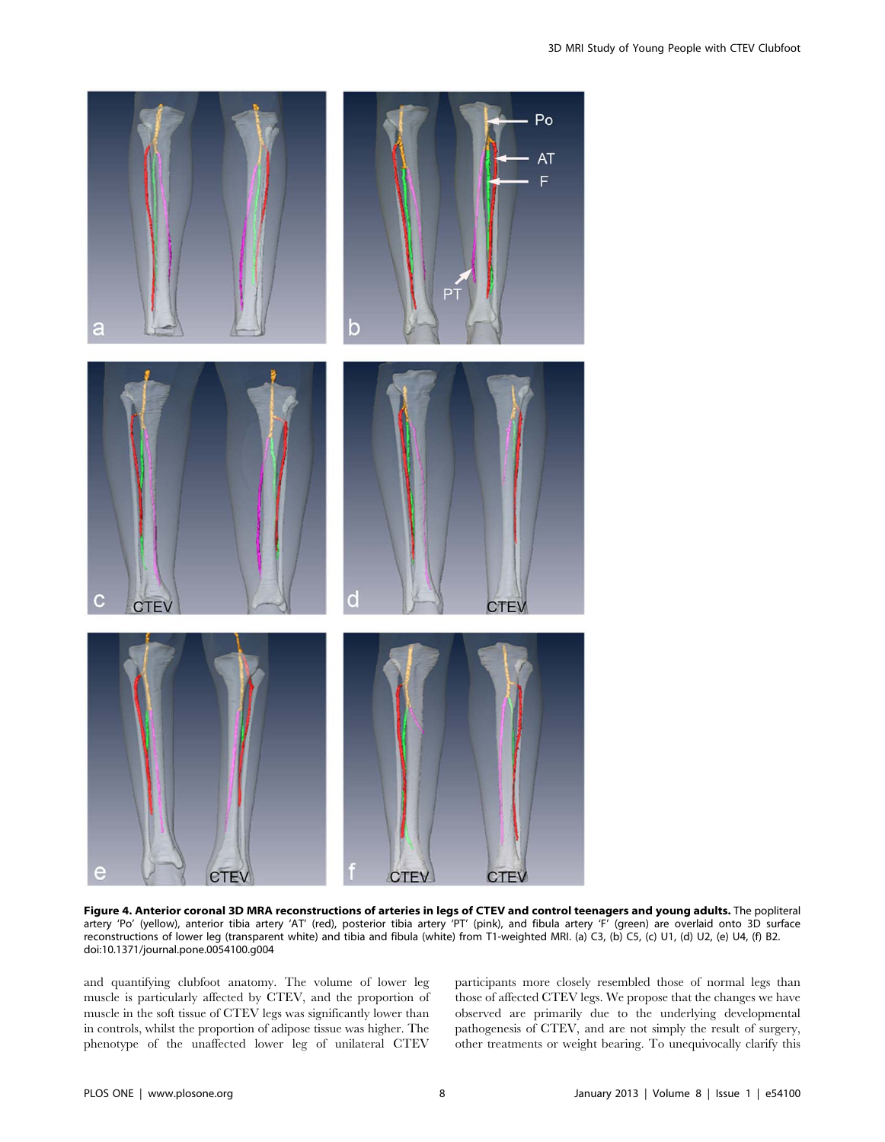

Figure 4. Anterior coronal 3D MRA reconstructions of arteries in legs of CTEV and control teenagers and young adults. The popliteral artery 'Po' (yellow), anterior tibia artery 'AT' (red), posterior tibia artery 'PT' (pink), and fibula artery 'F' (green) are overlaid onto 3D surface reconstructions of lower leg (transparent white) and tibia and fibula (white) from T1-weighted MRI. (a) C3, (b) C5, (c) U1, (d) U2, (e) U4, (f) B2. doi:10.1371/journal.pone.0054100.g004

and quantifying clubfoot anatomy. The volume of lower leg muscle is particularly affected by CTEV, and the proportion of muscle in the soft tissue of CTEV legs was significantly lower than in controls, whilst the proportion of adipose tissue was higher. The phenotype of the unaffected lower leg of unilateral CTEV

participants more closely resembled those of normal legs than those of affected CTEV legs. We propose that the changes we have observed are primarily due to the underlying developmental pathogenesis of CTEV, and are not simply the result of surgery, other treatments or weight bearing. To unequivocally clarify this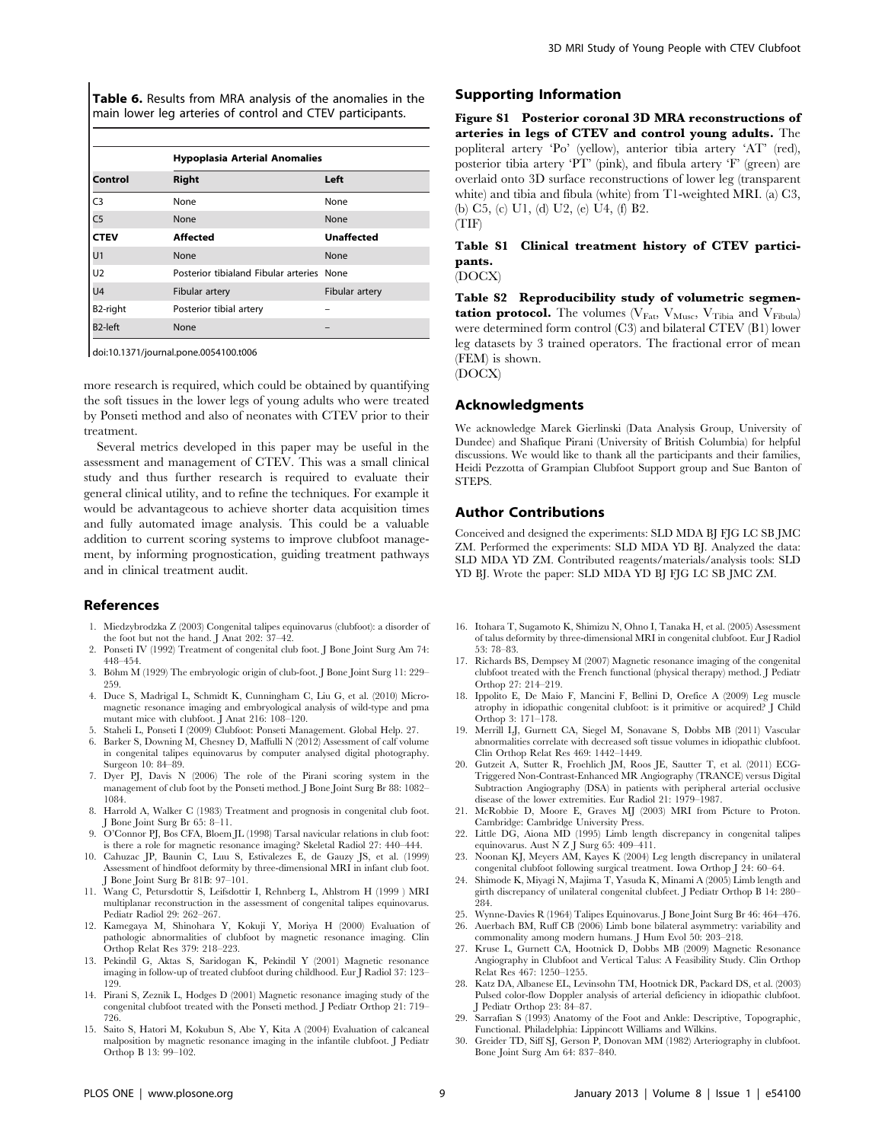Table 6. Results from MRA analysis of the anomalies in the main lower leg arteries of control and CTEV participants.

|                      | <b>Hypoplasia Arterial Anomalies</b>      |                   |  |  |  |
|----------------------|-------------------------------------------|-------------------|--|--|--|
| Control              | <b>Right</b>                              | Left              |  |  |  |
| C <sub>3</sub>       | None                                      | None              |  |  |  |
| C <sub>5</sub>       | None                                      | None              |  |  |  |
| <b>CTEV</b>          | Affected                                  | <b>Unaffected</b> |  |  |  |
| U <sub>1</sub>       | None                                      | None              |  |  |  |
| U <sub>2</sub>       | Posterior tibialand Fibular arteries None |                   |  |  |  |
| U <sub>4</sub>       | Fibular artery                            | Fibular artery    |  |  |  |
| B2-right             | Posterior tibial artery                   |                   |  |  |  |
| B <sub>2</sub> -left | None                                      |                   |  |  |  |

doi:10.1371/journal.pone.0054100.t006

more research is required, which could be obtained by quantifying the soft tissues in the lower legs of young adults who were treated by Ponseti method and also of neonates with CTEV prior to their treatment.

Several metrics developed in this paper may be useful in the assessment and management of CTEV. This was a small clinical study and thus further research is required to evaluate their general clinical utility, and to refine the techniques. For example it would be advantageous to achieve shorter data acquisition times and fully automated image analysis. This could be a valuable addition to current scoring systems to improve clubfoot management, by informing prognostication, guiding treatment pathways and in clinical treatment audit.

## References

- 1. Miedzybrodzka Z (2003) Congenital talipes equinovarus (clubfoot): a disorder of the foot but not the hand. J Anat 202: 37–42.
- 2. Ponseti IV (1992) Treatment of congenital club foot. J Bone Joint Surg Am 74: 448–454.
- 3. Böhm M (1929) The embryologic origin of club-foot. J Bone Joint Surg 11: 229-259.
- 4. Duce S, Madrigal L, Schmidt K, Cunningham C, Liu G, et al. (2010) Micromagnetic resonance imaging and embryological analysis of wild-type and pma mutant mice with clubfoot. J Anat 216: 108–120.
- 5. Staheli L, Ponseti I (2009) Clubfoot: Ponseti Management. Global Help. 27.
- 6. Barker S, Downing M, Chesney D, Maffulli N (2012) Assessment of calf volume in congenital talipes equinovarus by computer analysed digital photography. Surgeon 10: 84–89.
- 7. Dyer PJ, Davis N (2006) The role of the Pirani scoring system in the management of club foot by the Ponseti method. J Bone Joint Surg Br 88: 1082– 1084.
- 8. Harrold A, Walker C (1983) Treatment and prognosis in congenital club foot. J Bone Joint Surg Br 65: 8–11.
- 9. O'Connor PJ, Bos CFA, Bloem JL (1998) Tarsal navicular relations in club foot: is there a role for magnetic resonance imaging? Skeletal Radiol 27: 440–444.
- 10. Cahuzac JP, Baunin C, Luu S, Estivalezes E, de Gauzy JS, et al. (1999) Assessment of hindfoot deformity by three-dimensional MRI in infant club foot. J Bone Joint Surg Br 81B: 97–101.
- 11. Wang C, Petursdottir S, Leifsdottir I, Rehnberg L, Ahlstrom H (1999 ) MRI multiplanar reconstruction in the assessment of congenital talipes equinovarus. Pediatr Radiol 29: 262–267.
- 12. Kamegaya M, Shinohara Y, Kokuji Y, Moriya H (2000) Evaluation of pathologic abnormalities of clubfoot by magnetic resonance imaging. Clin Orthop Relat Res 379: 218–223.
- 13. Pekindil G, Aktas S, Saridogan K, Pekindil Y (2001) Magnetic resonance imaging in follow-up of treated clubfoot during childhood. Eur J Radiol 37: 123– 129.
- 14. Pirani S, Zeznik L, Hodges D (2001) Magnetic resonance imaging study of the congenital clubfoot treated with the Ponseti method. J Pediatr Orthop 21: 719– 726.
- 15. Saito S, Hatori M, Kokubun S, Abe Y, Kita A (2004) Evaluation of calcaneal malposition by magnetic resonance imaging in the infantile clubfoot. J Pediatr Orthop B 13: 99–102.

## Supporting Information

Figure S1 Posterior coronal 3D MRA reconstructions of arteries in legs of CTEV and control young adults. The popliteral artery 'Po' (yellow), anterior tibia artery 'AT' (red), posterior tibia artery 'PT' (pink), and fibula artery 'F' (green) are overlaid onto 3D surface reconstructions of lower leg (transparent white) and tibia and fibula (white) from T1-weighted MRI. (a) C3, (b) C5, (c) U1, (d) U2, (e) U4, (f) B2. (TIF)

## Table S1 Clinical treatment history of CTEV participants.

(DOCX)

Table S2 Reproducibility study of volumetric segmentation protocol. The volumes  $(V_{\text{Fat}}, V_{\text{Musc}}, V_{\text{Tibia}})$  and  $V_{\text{Fibula}}$ were determined form control (C3) and bilateral CTEV (B1) lower leg datasets by 3 trained operators. The fractional error of mean (FEM) is shown. (DOCX)

## Acknowledgments

We acknowledge Marek Gierlinski (Data Analysis Group, University of Dundee) and Shafique Pirani (University of British Columbia) for helpful discussions. We would like to thank all the participants and their families, Heidi Pezzotta of Grampian Clubfoot Support group and Sue Banton of STEPS.

#### Author Contributions

Conceived and designed the experiments: SLD MDA BJ FJG LC SB JMC ZM. Performed the experiments: SLD MDA YD BJ. Analyzed the data: SLD MDA YD ZM. Contributed reagents/materials/analysis tools: SLD YD BJ. Wrote the paper: SLD MDA YD BJ FJG LC SB JMC ZM.

- 16. Itohara T, Sugamoto K, Shimizu N, Ohno I, Tanaka H, et al. (2005) Assessment of talus deformity by three-dimensional MRI in congenital clubfoot. Eur J Radiol 53: 78–83.
- 17. Richards BS, Dempsey M (2007) Magnetic resonance imaging of the congenital clubfoot treated with the French functional (physical therapy) method. J Pediatr Orthop 27: 214–219.
- 18. Ippolito E, De Maio F, Mancini F, Bellini D, Orefice A (2009) Leg muscle atrophy in idiopathic congenital clubfoot: is it primitive or acquired? J Child Orthop 3: 171–178.
- 19. Merrill LJ, Gurnett CA, Siegel M, Sonavane S, Dobbs MB (2011) Vascular abnormalities correlate with decreased soft tissue volumes in idiopathic clubfoot. Clin Orthop Relat Res 469: 1442–1449.
- 20. Gutzeit A, Sutter R, Froehlich JM, Roos JE, Sautter T, et al. (2011) ECG-Triggered Non-Contrast-Enhanced MR Angiography (TRANCE) versus Digital Subtraction Angiography (DSA) in patients with peripheral arterial occlusive disease of the lower extremities. Eur Radiol 21: 1979–1987.
- 21. McRobbie D, Moore E, Graves MJ (2003) MRI from Picture to Proton. Cambridge: Cambridge University Press.
- 22. Little DG, Aiona MD (1995) Limb length discrepancy in congenital talipes equinovarus. Aust N Z J Surg 65: 409–411.
- 23. Noonan KJ, Meyers AM, Kayes K (2004) Leg length discrepancy in unilateral congenital clubfoot following surgical treatment. Iowa Orthop J 24: 60–64.
- 24. Shimode K, Miyagi N, Majima T, Yasuda K, Minami A (2005) Limb length and girth discrepancy of unilateral congenital clubfeet. J Pediatr Orthop B 14: 280– 284.
- 25. Wynne-Davies R (1964) Talipes Equinovarus. J Bone Joint Surg Br 46: 464–476. 26. Auerbach BM, Ruff CB (2006) Limb bone bilateral asymmetry: variability and
- commonality among modern humans. J Hum Evol 50: 203–218.
- 27. Kruse L, Gurnett CA, Hootnick D, Dobbs MB (2009) Magnetic Resonance Angiography in Clubfoot and Vertical Talus: A Feasibility Study. Clin Orthop Relat Res 467: 1250–1255.
- 28. Katz DA, Albanese EL, Levinsohn TM, Hootnick DR, Packard DS, et al. (2003) Pulsed color-flow Doppler analysis of arterial deficiency in idiopathic clubfoot. J Pediatr Orthop 23: 84–87.
- 29. Sarrafian S (1993) Anatomy of the Foot and Ankle: Descriptive, Topographic, Functional. Philadelphia: Lippincott Williams and Wilkins.
- 30. Greider TD, Siff SJ, Gerson P, Donovan MM (1982) Arteriography in clubfoot. Bone Joint Surg Am 64: 837–840.